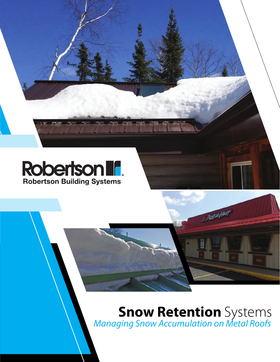

# **Snow Retention** Systems *Managing Snow Accumulation on Metal Roofs*

reation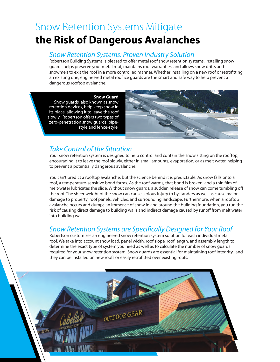### Snow Retention Systems Mitigate **the Risk of Dangerous Avalanches**

#### *Snow Retention Systems: Proven Industry Solution*

Robertson Building Systems is pleased to offer metal roof snow retention systems. Installing snow guards helps preserve your metal roof, maintains roof warranties, and allows snow drifts and snowmelt to exit the roof in a more controlled manner. Whether installing on a new roof or retrofitting an existing one, engineered metal roof ice guards are the smart and safe way to help prevent a dangerous rooftop avalanche.

**Snow Guard** Snow guards, also known as snow retention devices, help keep snow in its place, allowing it to leave the roof slowly. Robertson offers two types of zero-penetration snow guards: pipestyle and fence-style.



### *Take Control of the Situation*

Your snow retention system is designed to help control and contain the snow sitting on the rooftop, encouraging it to leave the roof slowly, either in small amounts, evaporation, or as melt water, helping to prevent a potentially dangerous avalanche.

You can't predict a rooftop avalanche, but the science behind it is predictable. As snow falls onto a roof, a temperature-sensitive bond forms. As the roof warms, that bond is broken, and a thin film of melt-water lubricates the slide. Without snow guards, a sudden release of snow can come tumbling off the roof. The sheer weight of the snow can cause serious injury to bystanders as well as cause major damage to property, roof panels, vehicles, and surrounding landscape. Furthermore, when a rooftop avalanche occurs and dumps an immense of snow in and around the building foundation, you run the risk of causing direct damage to building walls and indirect damage caused by runoff from melt water into building walls.

### *Snow Retention Systems are Specifically Designed for Your Roof*

Robertson customizes an engineered snow retention system solution for each individual metal roof. We take into account snow load, panel width, roof slope, roof length, and assembly length to determine the exact type of system you need as well as to calculate the number of snow guards required for your snow retention system. Snow guards are essential for maintaining roof integrity, and they can be installed on new roofs or easily retrofitted over existing roofs.

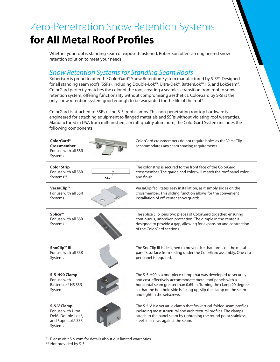# Zero-Penetration Snow Retention Systems **for All Metal Roof Profiles**

Whether your roof is standing seam or exposed-fastened, Robertson offers an engineered snow retention solution to meet your needs.

### *Snow Retention Systems for Standing Seam Roofs*

Robertson is proud to offer the ColorGard® Snow Retention System manufactured by S-5!®. Designed for all standing seam roofs (SSRs), including Double-Lok™, Ultra-Dek®, BattenLok™ HS, and LokSeam®, ColorGard perfectly matches the color of the roof, creating a seamless transition from roof to snow retention system, offering functionality without compromising aesthetics. ColorGard by S-5! is the only snow retention system good enough to be warranted for the life of the roof\*.

ColorGard is attached to SSRs using S-5! roof clamps. This non-penetrating rooftop hardware is engineered for attaching equipment to flanged materials and SSRs without violating roof warranties. Manufactured in USA from mill-finished, aircraft quality aluminum, the ColorGard System includes the following components:

| ColorGard <sup>®</sup><br>Crossmember |
|---------------------------------------|
| For use with all SSR                  |
| Systems                               |



ColorGard crossmembers do not require holes as the VersaClip accommodates any seam spacing requirements.

| <b>Color Strip</b><br>For use with all SSR<br>Systems**                                               | Color | The color strip is secured to the front face of the ColorGard<br>crossmember. The gauge and color will match the roof panel color<br>and finish.                                                                                                                                                        |
|-------------------------------------------------------------------------------------------------------|-------|---------------------------------------------------------------------------------------------------------------------------------------------------------------------------------------------------------------------------------------------------------------------------------------------------------|
| VersaClip™<br>For use with all SSR<br>Systems                                                         |       | VersaClip facilitates easy installation, as it simply slides on the<br>crossmember. This sliding function allows for the convenient<br>installation of off-center snow guards.                                                                                                                          |
| Splice™<br>For use with all SSR<br>Systems                                                            |       | The splice clip joins two pieces of ColorGard together, ensuring<br>continuous, unbroken protection. The dimple in the center is<br>designed to provide a gap, allowing for expansion and contraction<br>of the ColorGard sections.                                                                     |
| SnoClip™ III<br>For use with all SSR<br>Systems                                                       |       | The SnoClip III is designed to prevent ice that forms on the metal<br>panel's surface from sliding under the ColorGard assembly. One clip<br>per panel is required.                                                                                                                                     |
| S-5-H90 Clamp<br>For use with<br>BattenLok <sup>®</sup> HS SSR<br>System                              |       | The S-5-H90 is a one-piece clamp that was developed to securely<br>and cost-effectively accommodate metal roof panels with a<br>horizontal seam greater than 0.65-in. Turning the clamp 90 degrees<br>so that the bolt hole side is facing up, slip the clamp on the seam<br>and tighten the setscrews. |
| S-5-V Clamp<br>For use with Ultra-<br>Dek <sup>®</sup> , Double-Lok®,<br>and SuperLok® SSR<br>Systems |       | The S-5-V is a versatile clamp that fits vertical-folded seam profiles<br>including most structural and architectural profiles. The clamps<br>attach to the panel seam by tightening the round point stainless<br>steel setscrews against the seam.                                                     |

\* Please visit S-5.com for details about our limited warranties.

\*\* Not provided by S-5!